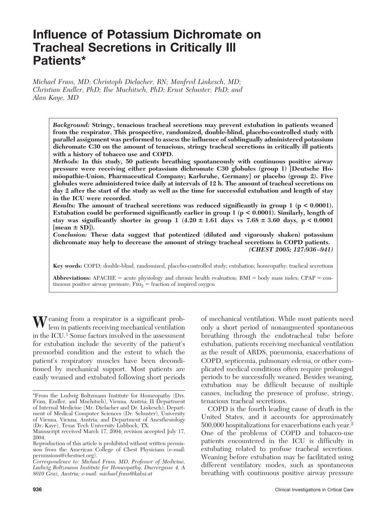# **Influence of Potassium Dichromate on Tracheal Secretions in Critically Ill Patients\***

*Michael Frass, MD; Christoph Dielacher, RN; Manfred Linkesch, MD; Christian Endler, PhD; Ilse Muchitsch, PhD; Ernst Schuster, PhD; and Alan Kaye, MD*

*Background:* **Stringy, tenacious tracheal secretions may prevent extubation in patients weaned from the respirator. This prospective, randomized, double-blind, placebo-controlled study with parallel assignment was performed to assess the influence of sublingually administered potassium dichromate C30 on the amount of tenacious, stringy tracheal secretions in critically ill patients with a history of tobacco use and COPD.**

*Methods:* **In this study, 50 patients breathing spontaneously with continuous positive airway pressure were receiving either potassium dichromate C30 globules (group 1) [Deutsche Homo¨ opathie-Union, Pharmaceutical Company; Karlsruhe, Germany] or placebo (group 2). Five globules were administered twice daily at intervals of 12 h. The amount of tracheal secretions on day 2 after the start of the study as well as the time for successful extubation and length of stay in the ICU were recorded.**

*Results:* **The amount of tracheal secretions was reduced significantly in group 1 (p < 0.0001). Extubation could be performed significantly earlier in group 1 (p < 0.0001). Similarly, length of** stay was significantly shorter in group  $1$   $(4.20 \pm 1.61$  days vs  $7.68 \pm 3.60$  days,  $p < 0.0001$  $[mean \pm SD]$ ).

*Conclusion:* **These data suggest that potentized (diluted and vigorously shaken) potassium dichromate may help to decrease the amount of stringy tracheal secretions in COPD patients.** *(CHEST 2005; 127:936 –941)*

**Key words:** COPD; double-blind, randomized, placebo-controlled study; extubation; homeopathy; tracheal secretions

**Abbreviations:** APACHE = acute physiology and chronic health evaluation;  $BMI = body$  mass index;  $CPAP = con$ tinuous positive airway pressure;  $\overline{Fio}_2$  = fraction of inspired oxygen

**W**eaning from a respirator is a significant prob-lem in patients receiving mechanical ventilation in the ICU.1 Some factors involved in the assessment for extubation include the severity of the patient's premorbid condition and the extent to which the patient's respiratory muscles have been deconditioned by mechanical support. Most patients are easily weaned and extubated following short periods of mechanical ventilation. While most patients need only a short period of nonaugmented spontaneous breathing through the endotracheal tube before extubation, patients receiving mechanical ventilation as the result of ARDS, pneumonia, exacerbations of COPD, septicemia, pulmonary edema, or other complicated medical conditions often require prolonged periods to be successfully weaned. Besides weaning, extubation may be difficult because of multiple causes, including the presence of profuse, stringy, tenacious tracheal secretions.

COPD is the fourth leading cause of death in the United States, and it accounts for approximately 500,000 hospitalizations for exacerbations each year.2 One of the problems of COPD and tobacco-use patients encountered in the ICU is difficulty in extubating related to profuse tracheal secretions. Weaning before extubation may be facilitated using different ventilatory modes, such as spontaneous breathing with continuous positive airway pressure

<sup>\*</sup>From the Ludwig Boltzmann Institute for Homeopathy (Drs. Frass, Endler, and Muchitsch), Vienna, Austria; II Department of Internal Medicine (Mr. Dielacher and Dr. Linkesch); Department of Medical Computer Sciences (Dr. Schuster), University of Vienna, Vienna, Austria; and Department of Anesthesiology (Dr. Kaye), Texas Tech University Lubbock, TX.

Manuscript received March 17, 2004; revision accepted July 17, 2004.

Reproduction of this article is prohibited without written permission from the American College of Chest Physicians (e-mail: permissions@chestnet.org).

*Correspondence to: Michael Frass, MD, Professor of Medicine, Ludwig Boltzmann Institute for Homeopathy, Duerergasse 4, A 8010 Graz, Austria; e-mail: michael.frass@kabsi.at*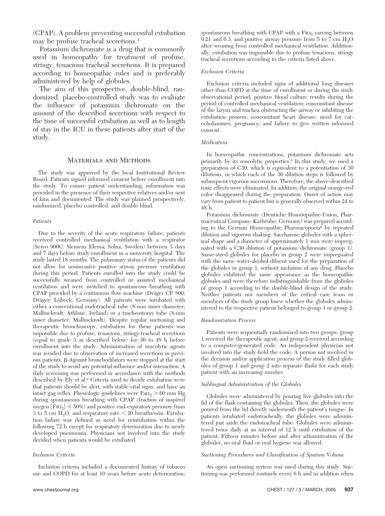(CPAP). A problem preventing successful extubation may be profuse tracheal secretions.3

Potassium dichromate is a drug that is commonly used in homeopathy for treatment of profuse, stringy, tenacious tracheal secretions. It is prepared according to homeopathic rules and is preferably administered by help of globules.

The aim of this prospective, double-blind, randomized, placebo-controlled study was to evaluate the influence of potassium dichromate on the amount of the described secretions with respect to the time of successful extubation as well as to length of stay in the ICU in these patients after start of the study.

# Materials and Methods

The study was approved by the local Institutional Review Board. Patients signed informed consent before enrollment into the study. To ensure patient understanding, information was provided in the presence of their respective relatives and/or next of kins and documented. The study was planned prospectively, randomized, placebo controlled, and double blind.

#### *Patients*

Due to the severity of the acute respiratory failure, patients received controlled mechanical ventilation with a respirator (Servo 900C; Siemens Elema; Solna, Sweden) between 3 days and 7 days before study enrollment in a university hospital. The study lasted 18 months. The pulmonary status of the patients did not allow for noninvasive positive airway pressure ventilation during this period. Patients enrolled into the study could be successfully weaned from controlled or assisted mechanical ventilation and were switched to spontaneous breathing with CPAP provided by a continuous flow machine (Dräger CF 800; Dräger; Lübeck, Germany). All patients were intubated with either a conventional endotracheal tube (8-mm inner diameter; Mallinckrodt; Athlone, Ireland) or a tracheostomy tube (8-mm inner diameter; Mallinckrodt). Despite regular suctioning and therapeutic bronchoscopy, extubation for these patients was impossible due to profuse, tenacious, stringy tracheal secretions (equal to grade 3 as described below) for 36 to 48 h before enrollment into the study. Administration of mucolytic agents was avoided due to observation of increased secretions in previous patients.  $\beta$ -Agonist bronchodilators were stopped at the start of the study to avoid any potential influence and/or interaction. A daily screening was performed in accordance with the methods described by Ely et al.4 Criteria used to decide extubation were that patients should be alert, with stable vital signs, and have an intact gag reflex. Physiologic guidelines were  $PaO<sub>2</sub> > 60$  mm Hg during spontaneous breathing with CPAP (fraction of inspired oxygen  $[\text{Fio}_2]$  < 50%) and positive end-expiratory pressure from 3 to 5 cm  $H<sub>2</sub>O$ , and respiratory rate  $\lt 20$  breaths/min. Extubation failure was defined as need for reintubation within the following 72 h except for respiratory deterioration due to newly developed pneumonia. Physicians not involved into the study decided when patients would be extubated.

#### *Inclusion Criteria*

Inclusion criteria included a documented history of tobacco use and COPD for at least 10 years before acute deterioration; spontaneous breathing with CPAP with a  $F1O<sub>2</sub>$  varying between 0.21 and 0.3, and positive airway pressure from 5 to 7 cm  $H_2O$ after weaning from controlled mechanical ventilation. Additionally, extubation was impossible due to profuse tenacious, stringy tracheal secretions according to the criteria listed above.

#### *Exclusion Criteria*

Exclusion criteria included signs of additional lung diseases other than COPD at the time of enrollment or during the study observational period; positive blood culture results during the period of controlled mechanical ventilation; concomitant disease of the larynx and trachea obstructing the airway or inhibiting the extubation process; concomitant heart disease; need for catecholamines; pregnancy; and failure to give written informed consent.

#### *Medication*

In homeopathic concentrations, potassium dichromate acts primarily by its mucolytic properties.5 In this study, we used a preparation of C30, which is equivalent to a potentiation of 30 dilutions, in which each of the 30 dilution steps is followed by subsequent vigorous succussions. Therefore, the above-described toxic effects were eliminated. In addition, the original orange-red color disappeared during the preparation. Onset of action may vary from patient to patient but is generally observed within 24 to 48 h.

Potassium dichromate (Deutsche Homöopathie-Union, Pharmaceutical Company; Karlsruhe, Germany) was prepared according to the German Homeopathic Pharmacopoeia<sup>6</sup> by repeated dilution and vigorous shaking. Saccharose globules with a spherical shape and a diameter of approximately 1 mm were impregnated with a C30 dilution of potassium dichromate (group 1). Same-sized globules for placebo in group 2 were impregnated with the same water-alcohol diluent used for the preparation of the globules in group 1, without inclusion of any drug. Placebo globules exhibited the same appearance as the homeopathic globules and were therefore indistinguishable from the globules of group 1 according to the double-blind design of the study. Neither patients nor members of the critical care team or members of the study group knew whether the globules administered to the respective patient belonged to group 1 or group 2.

## *Randomization Process*

Patients were sequentially randomized into two groups: group 1 received the therapeutic agent, and group 2 received according to a computer-generated code. An independent physician not involved into the study held the code. A person not involved in the decision and/or application process of the study filled globules of group 1 and group 2 into separate flasks for each study patient with an increasing number.

## *Sublingual Administration of the Globules*

Globules were administered by pouring five globules into the lid of the flask containing the globules. Then, the globules were poured from the lid directly underneath the patient's tongue. In patients intubated endotracheally, the globules were administered just aside the endotracheal tube. Globules were administered twice daily at an interval of 12 h until extubation of the patient. Fifteen minutes before and after administration of the globules, no oral fluid or oral hygiene was allowed.

## *Suctioning Procedures and Classification of Sputum Volume*

An open suctioning system was used during this study. Suctioning was performed routinely every 6 h and in addition when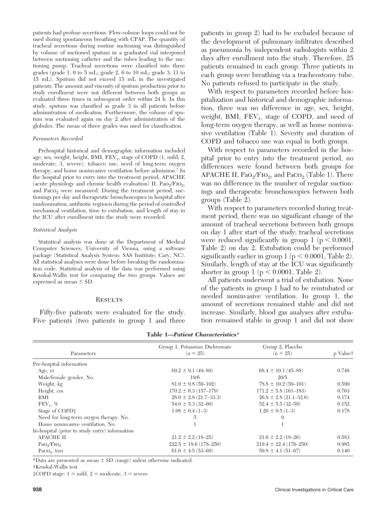patients had profuse secretions. Flow-volume loops could not be used during spontaneous breathing with CPAP. The quantity of tracheal secretions during routine suctioning was distinguished by volume of suctioned sputum in a graduated vial interposed between suctioning catheter and the tubes leading to the suctioning pump. Tracheal secretions were classified into three grades (grade 1, 0 to 5 mL; grade 2, 6 to 10 mL; grade 3, 11 to 15 mL). Sputum did not exceed 15 mL in the investigated patients. The amount and viscosity of sputum production prior to study enrollment were not different between both groups as evaluated three times in subsequent order within 24 h. In this study, sputum was classified as grade 3 in all patients before administration of medication. Furthermore, the volume of sputum was evaluated again on day 2 after administration of the globules. The mean of three grades was used for classification.

#### *Parameters Recorded*

Prehospital historical and demographic information included age, sex, weight, height, BMI,  $FEV_1$ , stage of COPD (1, mild; 2, moderate; 3, severe), tobacco use, need of long-term oxygen therapy, and home noninvasive ventilation before admission.7 In the hospital prior to entry into the treatment period, APACHE (acute physiology and chronic health evaluation) II,  $PaO<sub>2</sub>/FIO<sub>2</sub>$ , and  $Paco<sub>2</sub>$  were measured. During the treatment period, suctionings per day and therapeutic bronchoscopies in hospital after randomization, antibiotic regimen during the period of controlled mechanical ventilation, time to extubation, and length of stay in the ICU after enrollment into the study were recorded.

## *Statistical Analysis*

Statistical analysis was done at the Department of Medical Computer Sciences, University of Vienna, using a software package (Statistical Analysis System; SAS Institute; Cary, NC). All statistical analyses were done before breaking the randomization code. Statistical analysis of the data was performed using Kruskal-Wallis test for comparing the two groups. Values are expressed as mean  $\pm$  SD.

## **RESULTS**

Fifty-five patients were evaluated for the study. Five patients (two patients in group 1 and three patients in group 2) had to be excluded because of the development of pulmonary infiltrates described as pneumonia by independent radiologists within 2 days after enrollment into the study. Therefore, 25 patients remained in each group. Three patients in each group were breathing via a tracheostomy tube. No patients refused to participate in the study.

With respect to parameters recorded before hospitalization and historical and demographic information, three was no difference in age, sex, height, weight, BMI,  $FEV_1$ , stage of COPD, and need of long-term oxygen therapy, as well as home noninvasive ventilation (Table 1). Severity and duration of COPD and tobacco use was equal in both groups.

With respect to parameters recorded in the hospital prior to entry into the treatment period, no differences were found between both groups for APACHE II,  $PaO<sub>2</sub>/FIO<sub>2</sub>$ , and  $PaCO<sub>2</sub>$  (Table 1). There was no difference in the number of regular suctionings and therapeutic bronchoscopies between both groups (Table 2).

With respect to parameters recorded during treatment period, there was no significant change of the amount of tracheal secretions between both groups on day 1 after start of the study; tracheal secretions were reduced significantly in group  $1$  ( $p < 0.0001$ , Table 2) on day 2. Extubation could be performed significantly earlier in group  $1 (p < 0.0001,$  Table 2). Similarly, length of stay at the ICU was significantly shorter in group 1 ( $p < 0.0001$ , Table 2).

All patients underwent a trial of extubation. None of the patients in group 1 had to be reintubated or needed noninvasive ventilation. In group 1, the amount of secretions remained stable and did not increase. Similarly, blood gas analyses after extubation remained stable in group 1 and did not show

| Parameters                                     | Group 1, Potassium Dichromate<br>$(n = 25)$ | Group 2, Placebo<br>$(n = 25)$ | p Value <sup>†</sup> |  |
|------------------------------------------------|---------------------------------------------|--------------------------------|----------------------|--|
| Pre-hospital information                       |                                             |                                |                      |  |
| Age, yr                                        | $69.2 \pm 9.1 (49 - 89)$                    | $68.4 \pm 10.1 (45 - 88)$      | 0.748                |  |
| Male/female gender, No.                        | 19/6                                        | 20/5                           |                      |  |
| Weight, kg                                     | $81.0 \pm 9.8$ (59-102)                     | $78.8 \pm 10.2$ (59-101)       | 0.599                |  |
| Height, cm                                     | $170.2 \pm 6.3(157-179)$                    | $171.2 \pm 5.8$ (161-183)      | 0.763                |  |
| BMI                                            | $28.0 \pm 2.8$ (21.7–33.3)                  | $26.8 \pm 2.8$ (21.1–32.6)     | 0.174                |  |
| $FEV_1, %$                                     | $54.0 \pm 5.3(32 - 60)$                     | $52.4 \pm 5.5$ (32-59)         | 0.152                |  |
| Stage of COPD:                                 | $1.08 \pm 0.4$ (1-3)                        | $1.20 \pm 0.5$ (1-3)           | 0.178                |  |
| Need for long-term oxygen therapy, No.         | 5                                           | 9                              |                      |  |
| Home noninvasive ventilation, No.              |                                             |                                |                      |  |
| In-hospital (prior to study entry) information |                                             |                                |                      |  |
| <b>APACHE II</b>                               | $21.2 \pm 2.2$ (18-25)                      | $21.6 \pm 2.2$ (18-26)         | 0.583                |  |
| PaO <sub>2</sub> /FIO <sub>2</sub>             | $222.5 \pm 18.6$ (178-250)                  | $219.4 \pm 22.4 (176 - 250)$   | 0.985                |  |
| $Paco2$ , torr                                 | $61.6 \pm 4.5 (53 - 69)$                    | $59.8 \pm 4.1 (51 - 67)$       | 0.140                |  |

**Table 1—***Patient Characteristics*\*

\*Data are presented as mean  $\pm$  SD (range) unless otherwise indicated.

†Kruskal-Wallis test.

 $\text{\text{*COPD stage:}}$  1 = mild, 2 = moderate, 3 = severe.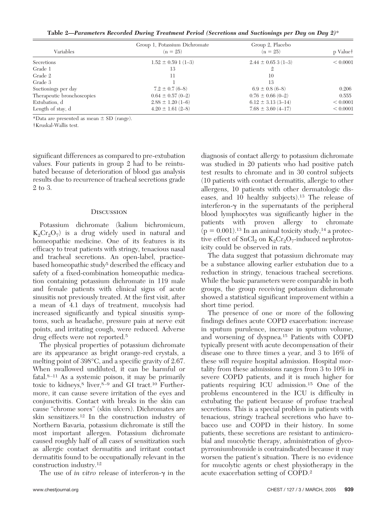**Table 2—***Parameters Recorded During Treatment Period (Secretions and Suctionings per Day on Day 2)*\*

| Variables                  | Group 1, Potassium Dichromate<br>$(n = 25)$ | Group 2, Placebo<br>$(n = 25)$ | p Value <sup>†</sup> |
|----------------------------|---------------------------------------------|--------------------------------|----------------------|
| Secretions                 | $1.52 \pm 0.59$ 1 (1-3)                     | $2.44 \pm 0.653(1-3)$          | < 0.0001             |
| Grade 1                    | 13                                          |                                |                      |
| Grade 2                    | 11                                          | 10                             |                      |
| Grade 3                    |                                             | 13                             |                      |
| Suctionings per day        | $7.2 \pm 0.7$ (6-8)                         | $6.9 \pm 0.8$ (6-8)            | 0.206                |
| Therapeutic bronchoscopies | $0.64 \pm 0.57$ (0-2)                       | $0.76 \pm 0.66$ (0-2)          | 0.555                |
| Extubation, d              | $2.88 \pm 1.20$ (1-6)                       | $6.12 \pm 3.13(3 - 14)$        | < 0.0001             |
| Length of stay, d          | $4.20 \pm 1.61$ (2-8)                       | $7.68 \pm 3.60 \ (4-17)$       | < 0.0001             |

\*Data are presented as mean  $\pm$  SD (range).

†Kruskal-Wallis test.

significant differences as compared to pre-extubation values. Four patients in group 2 had to be reintubated because of deterioration of blood gas analysis results due to recurrence of tracheal secretions grade 2 to 3.

## **DISCUSSION**

Potassium dichromate (kalium bichromicum,  $K_2Cr_2O_7$  is a drug widely used in natural and homeopathic medicine. One of its features is its efficacy to treat patients with stringy, tenacious nasal and tracheal secretions. An open-label, practicebased homeopathic study<sup>5</sup> described the efficacy and safety of a fixed-combination homeopathic medication containing potassium dichromate in 119 male and female patients with clinical signs of acute sinusitis not previously treated. At the first visit, after a mean of 4.1 days of treatment, mucolysis had increased significantly and typical sinusitis symptoms, such as headache, pressure pain at nerve exit points, and irritating cough, were reduced. Adverse drug effects were not reported.5

The physical properties of potassium dichromate are its appearance as bright orange-red crystals, a melting point of 398°C, and a specific gravity of 2.67. When swallowed undiluted, it can be harmful or fatal.8 –11 As a systemic poison, it may be primarily toxic to kidneys,<sup>8</sup> liver, $8-9$  and GI tract.<sup>10</sup> Furthermore, it can cause severe irritation of the eyes and conjunctivitis. Contact with breaks in the skin can cause "chrome sores" (skin ulcers). Dichromates are skin sensitizers.12 In the construction industry of Northern Bavaria, potassium dichromate is still the most important allergen. Potassium dichromate caused roughly half of all cases of sensitization such as allergic contact dermatitis and irritant contact dermatitis found to be occupationally relevant in the construction industry.12

The use of *in vitro* release of interferon- $\gamma$  in the

diagnosis of contact allergy to potassium dichromate was studied in 20 patients who had positive patch test results to chromate and in 30 control subjects (10 patients with contact dermatitis, allergic to other allergens, 10 patients with other dermatologic diseases, and 10 healthy subjects).13 The release of interferon- $\gamma$  in the supernatants of the peripheral blood lymphocytes was significantly higher in the patients with proven allergy to chromate  $(p = 0.001)$ .<sup>13</sup> In an animal toxicity study,<sup>14</sup> a protective effect of  $SnCl<sub>2</sub>$  on  $K<sub>2</sub>Cr<sub>2</sub>O<sub>7</sub>$ -induced nephrotoxicity could be observed in rats.

The data suggest that potassium dichromate may be a substance allowing earlier extubation due to a reduction in stringy, tenacious tracheal secretions. While the basic parameters were comparable in both groups, the group receiving potassium dichromate showed a statistical significant improvement within a short time period.

The presence of one or more of the following findings defines acute COPD exacerbation: increase in sputum purulence, increase in sputum volume, and worsening of dyspnea.15 Patients with COPD typically present with acute decompensation of their disease one to three times a year, and 3 to 16% of these will require hospital admission. Hospital mortality from these admissions ranges from 3 to 10% in severe COPD patients, and it is much higher for patients requiring ICU admission.15 One of the problems encountered in the ICU is difficulty in extubating the patient because of profuse tracheal secretions. This is a special problem in patients with tenacious, stringy tracheal secretions who have tobacco use and COPD in their history. In some patients, these secretions are resistant to antimicrobial and mucolytic therapy, administration of glycopyrroniumbromide is contraindicated because it may worsen the patient's situation. There is no evidence for mucolytic agents or chest physiotherapy in the acute exacerbation setting of COPD.2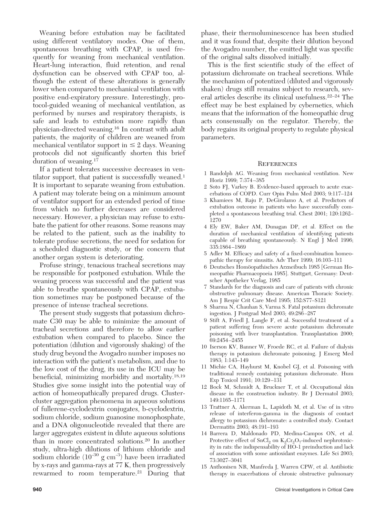Weaning before extubation may be facilitated using different ventilatory modes. One of them, spontaneous breathing with CPAP, is used frequently for weaning from mechanical ventilation. Heart-lung interaction, fluid retention, and renal dysfunction can be observed with CPAP too, although the extent of these alterations is generally lower when compared to mechanical ventilation with positive end-expiratory pressure. Interestingly, protocol-guided weaning of mechanical ventilation, as performed by nurses and respiratory therapists, is safe and leads to extubation more rapidly than physician-directed weaning.16 In contrast with adult patients, the majority of children are weaned from mechanical ventilator support in  $\leq 2$  days. Weaning protocols did not significantly shorten this brief duration of weaning.17

If a patient tolerates successive decreases in ventilator support, that patient is successfully weaned.<sup>1</sup> It is important to separate weaning from extubation. A patient may tolerate being on a minimum amount of ventilator support for an extended period of time from which no further decreases are considered necessary. However, a physician may refuse to extubate the patient for other reasons. Some reasons may be related to the patient, such as the inability to tolerate profuse secretions, the need for sedation for a scheduled diagnostic study, or the concern that another organ system is deteriorating.

Profuse stringy, tenacious tracheal secretions may be responsible for postponed extubation. While the weaning process was successful and the patient was able to breathe spontaneously with CPAP, extubation sometimes may be postponed because of the presence of intense tracheal secretions.

The present study suggests that potassium dichromate C30 may be able to minimize the amount of tracheal secretions and therefore to allow earlier extubation when compared to placebo. Since the potentiation (dilution and vigorously shaking) of the study drug beyond the Avogadro number imposes no interaction with the patient's metabolism, and due to the low cost of the drug, its use in the ICU may be beneficial, minimizing morbidity and mortality.18,19 Studies give some insight into the potential way of action of homeopathically prepared drugs. Clustercluster aggregation phenomena in aqueous solutions of fullerene-cyclodextrin conjugates, b-cyclodextrin, sodium chloride, sodium guanosine monophosphate, and a DNA oligonucleotide revealed that there are larger aggregates existent in dilute aqueous solutions than in more concentrated solutions.20 In another study, ultra-high dilutions of lithium chloride and sodium chloride  $(10^{-30} \text{ g cm}^{-3})$  have been irradiated by x-rays and gamma-rays at 77 K, then progressively rewarmed to room temperature.<sup>21</sup> During that phase, their thermoluminescence has been studied and it was found that, despite their dilution beyond the Avogadro number, the emitted light was specific of the original salts dissolved initially.

This is the first scientific study of the effect of potassium dichromate on tracheal secretions. While the mechanism of potentized (diluted and vigorously shaken) drugs still remains subject to research, several articles describe its clinical usefulness.22–24 The effect may be best explained by cybernetics, which means that the information of the homeopathic drug acts consensually on the regulator. Thereby, the body regains its original property to regulate physical parameters.

## **REFERENCES**

- 1 Randolph AG. Weaning from mechanical ventilation. New Horiz 1999; 7:374 –385
- 2 Soto FJ, Varkey B. Evidence-based approach to acute exacerbations of COPD. Curr Opin Pulm Med 2003; 9:117–124
- 3 Khamiees M, Raju P, DeGirolamo A, et al. Predictors of extubation outcome in patients who have successfully completed a spontaneous breathing trial. Chest 2001; 120:1262– 1270
- 4 Ely EW, Baker AM, Dunagan DP, et al. Effect on the duration of mechanical ventilation of identifying patients capable of breathing spontaneously. N Engl J Med 1996; 335:1864 –1869
- 5 Adler M. Efficacy and safety of a fixed-combination homeopathic therapy for sinusitis. Adv Ther 1999; 16:103–111
- 6 Deutsches Homöopathisches Arzneibuch 1985 [German Homeopathic Pharmacopoeia 1985]. Stuttgart, Germany: Deutscher Apotheker Verlag, 1985
- 7 Standards for the diagnosis and care of patients with chronic obstructive pulmonary disease. American Thoracic Society. Am J Respir Crit Care Med 1995; 152:S77–S121
- 8 Sharma N, Chauhan S, Varma S. Fatal potassium dichromate ingestion. J Postgrad Med 2003; 49:286 –287
- 9 Stift A, Friedl J, Langle F, et al. Successful treatment of a patient suffering from severe acute potassium dichromate poisoning with liver transplantation. Transplantation 2000; 69:2454 –2455
- 10 Iserson KV, Banner W, Froede RC, et al. Failure of dialysis therapy in potassium dichromate poisoning. J Emerg Med 1983; 1:143–149
- 11 Michie CA, Hayhurst M, Knobel GJ, et al. Poisoning with traditional remedy containing potassium dichromate. Hum Exp Toxicol 1991; 10:129 –131
- 12 Bock M, Schmidt A, Bruckner T, et al. Occupational skin disease in the construction industry. Br J Dermatol 2003; 149:1165–1171
- 13 Trattner A, Akerman L, Lapidoth M, et al. Use of in vitro release of interferon-gamma in the diagnosis of contact allergy to potassium dichromate: a controlled study. Contact Dermatitis 2003; 48:191–193
- 14 Barrera D, Maldonado PD, Medina-Campos ON, et al. Protective effect of  $SnCl<sub>2</sub>$  on  $K<sub>2</sub>Cr<sub>2</sub>O<sub>7</sub>$ -induced nephrotoxicity in rats: the indispensability of HO-1 preinduction and lack of association with some antioxidant enzymes. Life Sci 2003; 73:3027–3041
- 15 Anthonisen NR, Manfreda J, Warren CPW, et al. Antibiotic therapy in exacerbations of chronic obstructive pulmonary